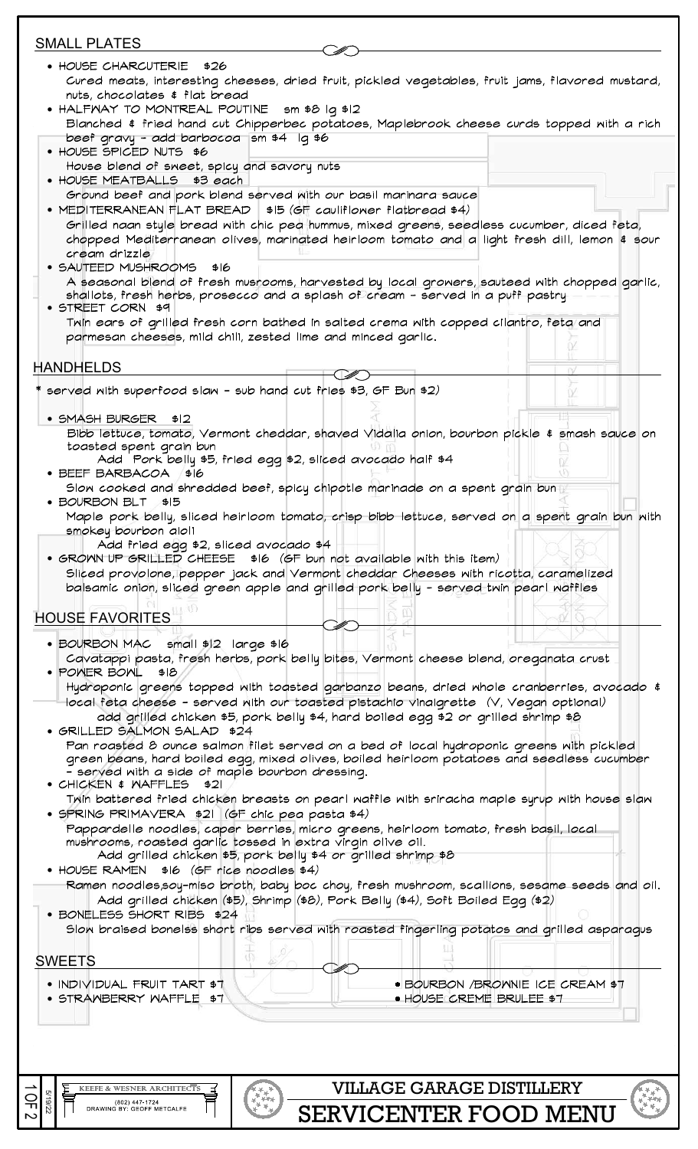| <b>SMALL PLATES</b>                                                                                                                                                                          |                                                                                    |                                   |
|----------------------------------------------------------------------------------------------------------------------------------------------------------------------------------------------|------------------------------------------------------------------------------------|-----------------------------------|
| • HOUSE CHARCUTERIE \$26                                                                                                                                                                     |                                                                                    |                                   |
| Cured meats, interesting cheeses, dried fruit, pickled vegetables, fruit jams, flavored mustard,                                                                                             |                                                                                    |                                   |
| nuts, chocolates & flat bread<br>• HALFWAY TO MONTREAL POUTINE sm \$8 Iq \$12                                                                                                                |                                                                                    |                                   |
| Blanched & fried hand cut Chipperbec potatoes, Maplebrook cheese curds topped with a rich                                                                                                    |                                                                                    |                                   |
| beef gravy - add barbocoa sm \$4 lg \$6                                                                                                                                                      |                                                                                    |                                   |
| • HOUSE SPICED NUTS \$6                                                                                                                                                                      |                                                                                    |                                   |
| House blend of sweet, spicy and savory nuts<br>• HOUSE MEATBALLS \$3 each                                                                                                                    |                                                                                    |                                   |
| Ground beef and pork blend served with our basil maninara sauce                                                                                                                              |                                                                                    |                                   |
| • MEDITERRANEAN FLAT BREAD   \$15 (GF cauliflomer flatbread \$4)                                                                                                                             |                                                                                    |                                   |
| Grilled naan style bread with chic ped hummus, mixed greens, seedless cucumber, diced feta,<br>chopped Mediterranean olives, marinated heirloom tomato and a light fresh dill, lemon \$ sour |                                                                                    |                                   |
| cream drizzle                                                                                                                                                                                |                                                                                    |                                   |
| • SAUTEED MUSHROOMS \$16                                                                                                                                                                     |                                                                                    |                                   |
| A seasonal blend of fresh musrooms, harvested by local growers, sauteed with chopped garlic,                                                                                                 |                                                                                    |                                   |
| shallots, fresh herbs, prosecco and a splash of cream - served in a puff pastry<br>• STREET CORN \$9                                                                                         |                                                                                    |                                   |
| Thin ears of grilled fresh corn bathed in salted crema nith copped cilantro, feta and                                                                                                        |                                                                                    |                                   |
| parmesan cheeses, mild chili, zested lime and minced garlic.                                                                                                                                 |                                                                                    |                                   |
|                                                                                                                                                                                              |                                                                                    |                                   |
| <b>HANDHELDS</b>                                                                                                                                                                             |                                                                                    |                                   |
| served with superfood slaw - sub hand cut fries \$3, GF Bun \$2)                                                                                                                             |                                                                                    |                                   |
| • SMASH BURGER \$12                                                                                                                                                                          |                                                                                    |                                   |
| Bibb lettuce, tomato, Vermont cheddar, shaved Vidalia onion, bourbon pickle \$ smash sauce on                                                                                                |                                                                                    |                                   |
| toasted spent grain bun                                                                                                                                                                      |                                                                                    |                                   |
| Add Pork belly \$5, fried egg \$2, sliced avocado half \$4<br>• BEEF BARBACOA / \$16                                                                                                         |                                                                                    |                                   |
| Slow cooked and shredded beef, spicy chipotle marinade on a spent grain bun                                                                                                                  |                                                                                    |                                   |
| • BOURBON BLT \$15                                                                                                                                                                           |                                                                                    |                                   |
| Maple pork belly, sliced heirloom tomato, crisp bibb lettuce, served on a spent grain bun with<br>smokey bourbon aioli                                                                       |                                                                                    |                                   |
| Add fried egg \$2, sliced avocado \$4                                                                                                                                                        |                                                                                    |                                   |
| • GROWN UP GRILLED CHEESE \$16 (GF bun not available with this item)                                                                                                                         |                                                                                    |                                   |
| Sliced provolone, pepper jack and Vermont cheddar Cheeses with ricotta, caramelized<br>balsamic onion, sliced green apple and grilled pork belly - served twin pearl waffles                 |                                                                                    |                                   |
|                                                                                                                                                                                              |                                                                                    |                                   |
| <b>HOUSE FAVORITES</b>                                                                                                                                                                       |                                                                                    |                                   |
| • BOURBON MAC small \$12 large \$16                                                                                                                                                          |                                                                                    |                                   |
| Cavatappi pasta, fresh herbs, pork belly bites, Vermont cheese blend, oreganata crust                                                                                                        |                                                                                    |                                   |
| · POWER BOWL \$18                                                                                                                                                                            |                                                                                    |                                   |
| Hydroponic greens topped with toasted garbanzo beans, dried whole cranberries, avocado \$                                                                                                    |                                                                                    |                                   |
| local feta cheese – served with our toasted pistachio vinaigrette (V, Vegan optional)                                                                                                        |                                                                                    |                                   |
| • GRILLED SALMON SALAD \$24                                                                                                                                                                  | add grilled chicken \$5, pork belly \$4, hard boiled egg \$2 or grilled shrimp \$8 |                                   |
| Pan roasted 8 ounce salmon filet served on a bed of local hydroponic greens with pickled                                                                                                     |                                                                                    |                                   |
| green beans, hard boiled egg, mixed olives, boiled heirloom potatoes and seedless cucumber                                                                                                   |                                                                                    |                                   |
| - served with a side of maple bourbon dressing.<br>$\bullet$ CHICKEN $\sharp$ MAFFLES $\sharp$ 21                                                                                            |                                                                                    |                                   |
| Trin battered fried chicken breasts on pearl maffle mith sriracha maple syrup mith house slam                                                                                                |                                                                                    |                                   |
| • SPRING PRIMAVERA \$21 (GF chic pea pasta \$4)                                                                                                                                              |                                                                                    |                                   |
| Pappardelle noodles, caper berries, micro greens, heirloom tomato, fresh basil, local<br>mushrooms, roasted garlic tossed in extra virgin olive oil.                                         |                                                                                    |                                   |
| Add grilled chicken \$5, pork belly \$4 or grilled shrimp \$8                                                                                                                                |                                                                                    |                                   |
| • HOUSE RAMEN $$16$ (GF rice noodles $$4)$                                                                                                                                                   |                                                                                    |                                   |
| Ramen noodles,soy-miso broth, baby boc choy, fresh mushroom, scallions, sesame seeds and oil.                                                                                                |                                                                                    |                                   |
| · BONELESS SHORT RIBS \$24                                                                                                                                                                   | Add grilled chicken (\$5), Shrimp (\$8), Pork Belly (\$4), Soft Boiled Egg (\$2)   |                                   |
| Slow braised bonelss short ribs served with roasted fingerling potatos and grilled asparagus                                                                                                 |                                                                                    |                                   |
|                                                                                                                                                                                              |                                                                                    |                                   |
| <b>SWEETS</b>                                                                                                                                                                                |                                                                                    |                                   |
| • INDIVIDUAL FRUIT TART \$7                                                                                                                                                                  |                                                                                    | · BOURBON / BROWNIE ICE CREAM \$7 |
| • STRANBERRY WAFFLE \$7                                                                                                                                                                      |                                                                                    | · HOUSE CREME BRULEE \$7          |
|                                                                                                                                                                                              |                                                                                    |                                   |
|                                                                                                                                                                                              |                                                                                    |                                   |
|                                                                                                                                                                                              |                                                                                    |                                   |
|                                                                                                                                                                                              |                                                                                    |                                   |
| KEEFE & WESNER ARCHITECTS                                                                                                                                                                    | <b>VILLAGE GARAGE DISTILLERY</b>                                                   |                                   |
| ቑኇቚዺቚ<br>ኯጞ፟ <del>ዾጞ</del> ቝ<br>፞፞፞፞፞፞፞ቝቝ<br>5/19/22<br>Ω<br>Ω<br>(802) 447-1724<br>DRAWING BY: GEOFF METCALFE                                                                               |                                                                                    |                                   |
|                                                                                                                                                                                              | <b>SERVICENTER FOOD MENU</b>                                                       |                                   |